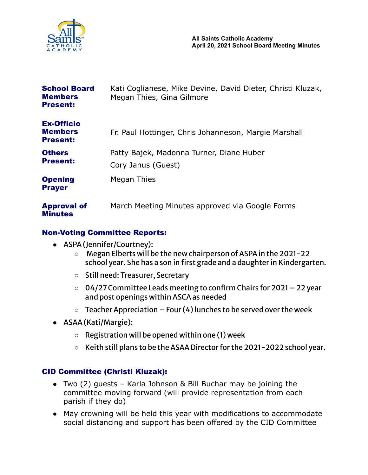

| <b>School Board</b><br><b>Members</b><br><b>Present:</b> | Kati Coglianese, Mike Devine, David Dieter, Christi Kluzak,<br>Megan Thies, Gina Gilmore |
|----------------------------------------------------------|------------------------------------------------------------------------------------------|
| <b>Ex-Officio</b><br><b>Members</b><br><b>Present:</b>   | Fr. Paul Hottinger, Chris Johanneson, Margie Marshall                                    |
| <b>Others</b><br><b>Present:</b>                         | Patty Bajek, Madonna Turner, Diane Huber<br>Cory Janus (Guest)                           |
| <b>Opening</b><br><b>Prayer</b>                          | Megan Thies                                                                              |
| <b>Approval of</b><br><b>Minutes</b>                     | March Meeting Minutes approved via Google Forms                                          |

## Non-Voting Committee Reports:

- ASPA (Jennifer/Courtney):
	- Megan Elberts will be the new chairperson of ASPAin the 2021-22 school year. She has a son in first grade and a daughter in Kindergarten.
	- Still need: Treasurer, Secretary
	- 04/27Committee Leads meeting to confirm Chairs for 2021 22 year and post openings within ASCAas needed
	- $\circ$  Teacher Appreciation Four (4) lunches to be served over the week
- ASAA(Kati/Margie):
	- $\circ$  Registration will be opened within one (1) week
	- Keith still plans to be the ASAA Director for the 2021-2022 school year.

### CID Committee (Christi Kluzak):

- Two (2) guests Karla Johnson & Bill Buchar may be joining the committee moving forward (will provide representation from each parish if they do)
- May crowning will be held this year with modifications to accommodate social distancing and support has been offered by the CID Committee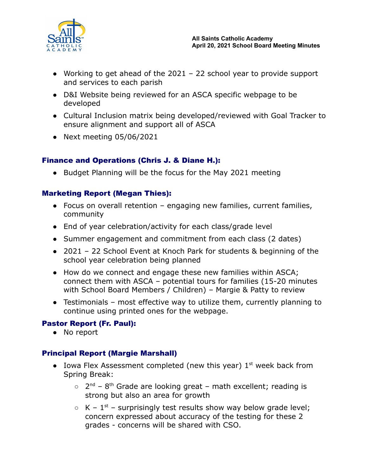

- Working to get ahead of the  $2021 22$  school year to provide support and services to each parish
- D&I Website being reviewed for an ASCA specific webpage to be developed
- Cultural Inclusion matrix being developed/reviewed with Goal Tracker to ensure alignment and support all of ASCA
- $\bullet$  Next meeting 05/06/2021

# Finance and Operations (Chris J. & Diane H.):

• Budget Planning will be the focus for the May 2021 meeting

## Marketing Report (Megan Thies):

- Focus on overall retention engaging new families, current families, community
- End of year celebration/activity for each class/grade level
- Summer engagement and commitment from each class (2 dates)
- 2021 22 School Event at Knoch Park for students & beginning of the school year celebration being planned
- How do we connect and engage these new families within ASCA; connect them with ASCA – potential tours for families (15-20 minutes with School Board Members / Children) – Margie & Patty to review
- Testimonials most effective way to utilize them, currently planning to continue using printed ones for the webpage.

### Pastor Report (Fr. Paul):

● No report

### Principal Report (Margie Marshall)

- Iowa Flex Assessment completed (new this year)  $1<sup>st</sup>$  week back from Spring Break:
	- $\circ$  2<sup>nd</sup> 8<sup>th</sup> Grade are looking great math excellent; reading is strong but also an area for growth
	- $\circ$  K 1<sup>st</sup> surprisingly test results show way below grade level; concern expressed about accuracy of the testing for these 2 grades - concerns will be shared with CSO.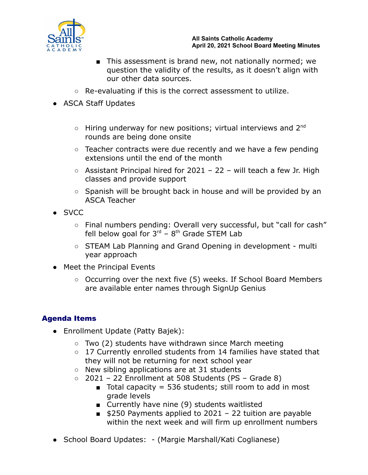

- This assessment is brand new, not nationally normed; we question the validity of the results, as it doesn't align with our other data sources.
- Re-evaluating if this is the correct assessment to utilize.
- ASCA Staff Updates
	- $\circ$  Hiring underway for new positions; virtual interviews and 2<sup>nd</sup> rounds are being done onsite
	- Teacher contracts were due recently and we have a few pending extensions until the end of the month
	- $\circ$  Assistant Principal hired for 2021 22 will teach a few Jr. High classes and provide support
	- Spanish will be brought back in house and will be provided by an ASCA Teacher
- SVCC
	- Final numbers pending: Overall very successful, but "call for cash" fell below goal for  $3^{rd}$  –  $8^{th}$  Grade STEM Lab
	- STEAM Lab Planning and Grand Opening in development multi year approach
- Meet the Principal Events
	- Occurring over the next five (5) weeks. If School Board Members are available enter names through SignUp Genius

# Agenda Items

- Enrollment Update (Patty Bajek):
	- $\circ$  Two (2) students have withdrawn since March meeting
	- 17 Currently enrolled students from 14 families have stated that they will not be returning for next school year
	- New sibling applications are at 31 students
	- $\circ$  2021 22 Enrollment at 508 Students (PS Grade 8)
		- Total capacity = 536 students; still room to add in most grade levels
		- Currently have nine (9) students waitlisted
		- $\Box$  \$250 Payments applied to 2021 22 tuition are payable within the next week and will firm up enrollment numbers
- School Board Updates: (Margie Marshall/Kati Coglianese)